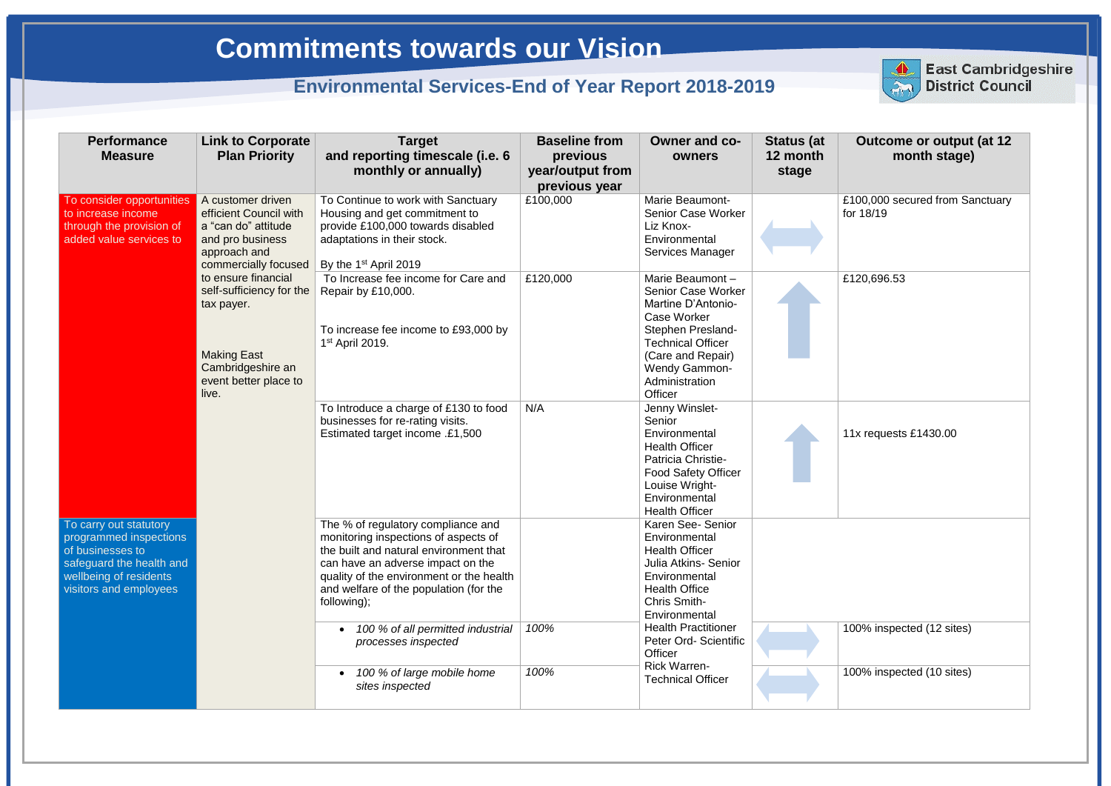£100,000 secured from Sanctuary for 18/19

£120,696.53

| <b>Performance</b><br><b>Measure</b>                                                                                                                 | <b>Link to Corporate</b><br><b>Plan Priority</b>                                                                               | <b>Target</b><br>and reporting timescale (i.e. 6                                                                                                                                                                                                               | <b>Baseline from</b>                          | <b>Owner and co-</b>                                                                                                                                                                                                       | <b>Status (at</b><br>12 month |
|------------------------------------------------------------------------------------------------------------------------------------------------------|--------------------------------------------------------------------------------------------------------------------------------|----------------------------------------------------------------------------------------------------------------------------------------------------------------------------------------------------------------------------------------------------------------|-----------------------------------------------|----------------------------------------------------------------------------------------------------------------------------------------------------------------------------------------------------------------------------|-------------------------------|
|                                                                                                                                                      |                                                                                                                                | monthly or annually)                                                                                                                                                                                                                                           | previous<br>year/output from<br>previous year | owners                                                                                                                                                                                                                     | stage                         |
| To consider opportunities<br>to increase income<br>through the provision of<br>added value services to                                               | A customer driven<br>efficient Council with<br>a "can do" attitude<br>and pro business<br>approach and<br>commercially focused | To Continue to work with Sanctuary<br>Housing and get commitment to<br>provide £100,000 towards disabled<br>adaptations in their stock.<br>By the 1 <sup>st</sup> April 2019                                                                                   | £100,000                                      | <b>Marie Beaumont-</b><br><b>Senior Case Worker</b><br>Liz Knox-<br>Environmental<br>Services Manager                                                                                                                      |                               |
| tax payer.<br><b>Making East</b><br>Cambridgeshire an<br>event better place to<br>live.                                                              | to ensure financial<br>self-sufficiency for the                                                                                | To Increase fee income for Care and<br>Repair by £10,000.<br>To increase fee income to £93,000 by<br>$1st$ April 2019.                                                                                                                                         | £120,000                                      | Marie Beaumont-<br><b>Senior Case Worker</b><br>Martine D'Antonio-<br><b>Case Worker</b><br>Stephen Presland-<br><b>Technical Officer</b><br>(Care and Repair)<br><b>Wendy Gammon-</b><br>Administration<br><b>Officer</b> |                               |
|                                                                                                                                                      |                                                                                                                                | To Introduce a charge of £130 to food<br>businesses for re-rating visits.<br>Estimated target income .£1,500                                                                                                                                                   | N/A                                           | Jenny Winslet-<br>Senior<br>Environmental<br><b>Health Officer</b><br>Patricia Christie-<br><b>Food Safety Officer</b><br>Louise Wright-<br>Environmental<br><b>Health Officer</b>                                         |                               |
| To carry out statutory<br>programmed inspections<br>of businesses to<br>safeguard the health and<br>wellbeing of residents<br>visitors and employees |                                                                                                                                | The % of regulatory compliance and<br>monitoring inspections of aspects of<br>the built and natural environment that<br>can have an adverse impact on the<br>quality of the environment or the health<br>and welfare of the population (for the<br>following); |                                               | Karen See- Senior<br>Environmental<br><b>Health Officer</b><br>Julia Atkins- Senior<br>Environmental<br><b>Health Office</b><br>Chris Smith-<br>Environmental                                                              |                               |
|                                                                                                                                                      |                                                                                                                                | 100 % of all permitted industrial<br>processes inspected                                                                                                                                                                                                       | 100%                                          | <b>Health Practitioner</b><br>Peter Ord- Scientific<br>Officer                                                                                                                                                             |                               |
|                                                                                                                                                      |                                                                                                                                | 100 % of large mobile home<br>sites inspected                                                                                                                                                                                                                  | 100%                                          | <b>Rick Warren-</b><br><b>Technical Officer</b>                                                                                                                                                                            |                               |



11x requests £1430.00

100% inspected (12 sites)

100% inspected (10 sites)

**East Cambridgeshire District Council**

# **Commitments towards our Vision**

# **Environmental Services-End of Year Report 2018-2019**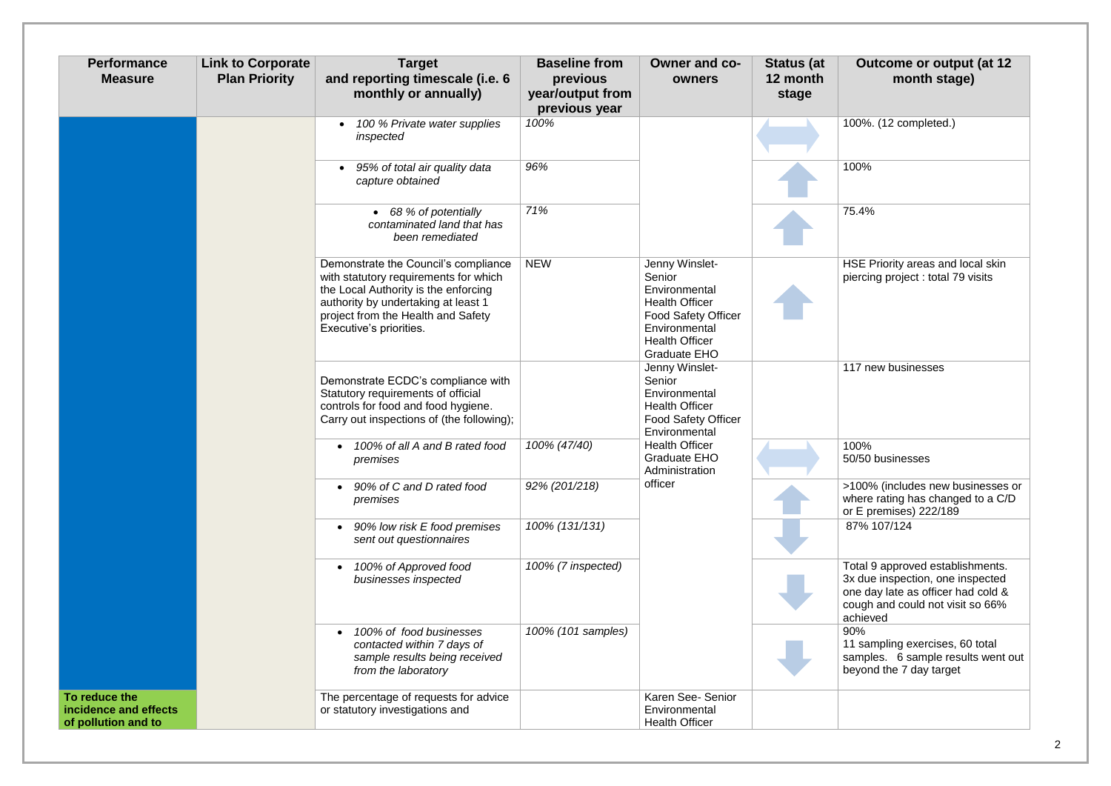| <b>Performance</b><br><b>Measure</b>                          | <b>Link to Corporate</b><br><b>Plan Priority</b> | <b>Target</b><br>and reporting timescale (i.e. 6<br>monthly or annually)                                                                                                                                                      | <b>Baseline from</b><br>previous<br>year/output from<br>previous year | Owner and co-<br>owners                                                                                                                                           | <b>Status (at</b><br>12 month<br>stage | <b>Outcome or output (at 12</b><br>month stage)                                                                                                            |
|---------------------------------------------------------------|--------------------------------------------------|-------------------------------------------------------------------------------------------------------------------------------------------------------------------------------------------------------------------------------|-----------------------------------------------------------------------|-------------------------------------------------------------------------------------------------------------------------------------------------------------------|----------------------------------------|------------------------------------------------------------------------------------------------------------------------------------------------------------|
|                                                               |                                                  | 100 % Private water supplies<br>inspected                                                                                                                                                                                     | 100%                                                                  |                                                                                                                                                                   |                                        | 100%. (12 completed.)                                                                                                                                      |
|                                                               |                                                  | 95% of total air quality data<br>capture obtained                                                                                                                                                                             | 96%                                                                   |                                                                                                                                                                   |                                        | 100%                                                                                                                                                       |
|                                                               |                                                  | • 68 % of potentially<br>contaminated land that has<br>been remediated                                                                                                                                                        | 71%                                                                   |                                                                                                                                                                   |                                        | 75.4%                                                                                                                                                      |
|                                                               |                                                  | Demonstrate the Council's compliance<br>with statutory requirements for which<br>the Local Authority is the enforcing<br>authority by undertaking at least 1<br>project from the Health and Safety<br>Executive's priorities. | <b>NEW</b>                                                            | Jenny Winslet-<br>Senior<br>Environmental<br><b>Health Officer</b><br><b>Food Safety Officer</b><br>Environmental<br><b>Health Officer</b><br><b>Graduate EHO</b> |                                        | HSE Priority areas and local skin<br>piercing project: total 79 visits                                                                                     |
|                                                               |                                                  | Demonstrate ECDC's compliance with<br>Statutory requirements of official<br>controls for food and food hygiene.<br>Carry out inspections of (the following);                                                                  |                                                                       | Jenny Winslet-<br>Senior<br>Environmental<br><b>Health Officer</b><br><b>Food Safety Officer</b><br>Environmental                                                 |                                        | 117 new businesses                                                                                                                                         |
|                                                               |                                                  | 100% of all A and B rated food<br>premises                                                                                                                                                                                    | 100% (47/40)                                                          | <b>Health Officer</b><br>Graduate EHO<br>Administration                                                                                                           |                                        | 100%<br>50/50 businesses                                                                                                                                   |
|                                                               |                                                  | 90% of C and D rated food<br>premises                                                                                                                                                                                         | 92% (201/218)                                                         | officer                                                                                                                                                           |                                        | >100% (includes new businesses or<br>where rating has changed to a C/D<br>or E premises) 222/189                                                           |
|                                                               |                                                  | 90% low risk E food premises<br>sent out questionnaires                                                                                                                                                                       | 100% (131/131)                                                        |                                                                                                                                                                   |                                        | 87% 107/124                                                                                                                                                |
|                                                               |                                                  | 100% of Approved food<br>businesses inspected                                                                                                                                                                                 | 100% (7 inspected)                                                    |                                                                                                                                                                   |                                        | Total 9 approved establishments.<br>3x due inspection, one inspected<br>one day late as officer had cold &<br>cough and could not visit so 66%<br>achieved |
|                                                               |                                                  | 100% of food businesses<br>contacted within 7 days of<br>sample results being received<br>from the laboratory                                                                                                                 | 100% (101 samples)                                                    |                                                                                                                                                                   |                                        | 90%<br>11 sampling exercises, 60 total<br>samples. 6 sample results went out<br>beyond the 7 day target                                                    |
| To reduce the<br>incidence and effects<br>of pollution and to |                                                  | The percentage of requests for advice<br>or statutory investigations and                                                                                                                                                      |                                                                       | Karen See- Senior<br>Environmental<br><b>Health Officer</b>                                                                                                       |                                        |                                                                                                                                                            |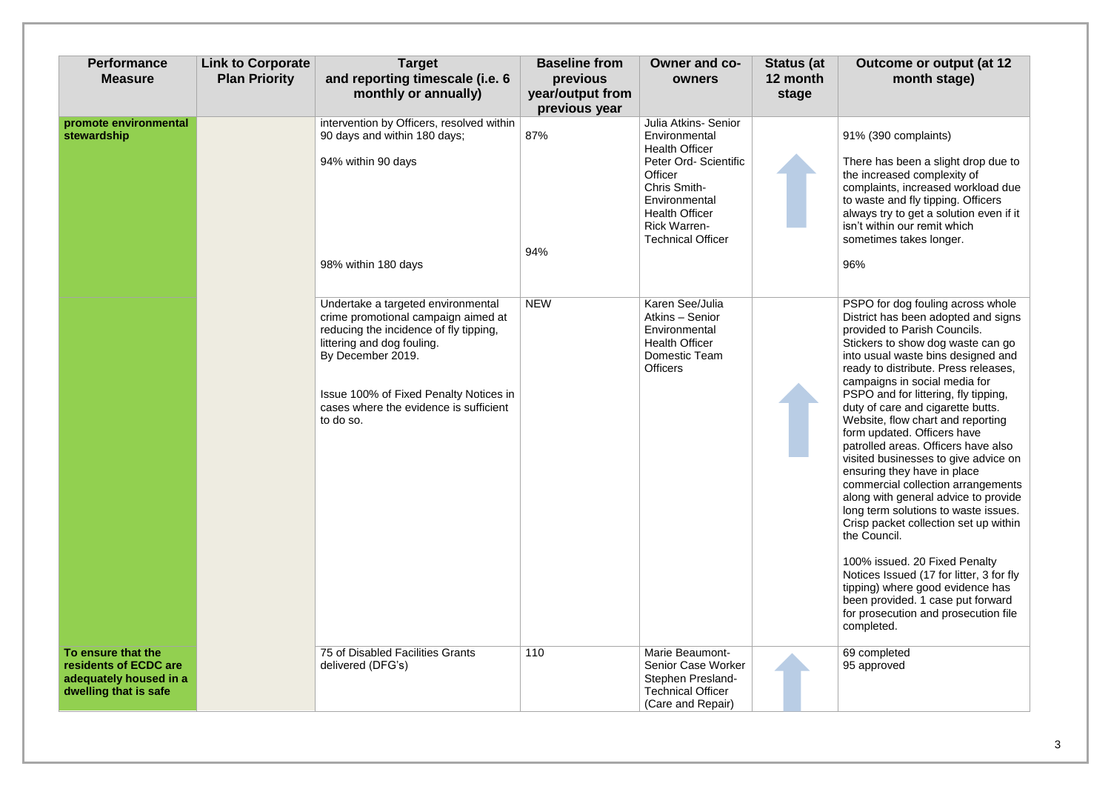#### 91% (390 complaints)

There has been a slight drop due to the increased complexity of complaints, increased workload due to waste and fly tipping. Officers always try to get a solution even if it isn't within our remit which sometimes takes longer.

96%

69 completed 95 approved

| <b>Performance</b><br><b>Measure</b>                                                           | <b>Link to Corporate</b><br><b>Plan Priority</b> | <b>Target</b><br>and reporting timescale (i.e. 6<br>monthly or annually)                                                                                                                                                                                                | <b>Baseline from</b><br>previous<br>year/output from<br>previous year | Owner and co-<br>owners                                                                                                                                                                                         | <b>Status (at</b><br>12 month<br>stage |
|------------------------------------------------------------------------------------------------|--------------------------------------------------|-------------------------------------------------------------------------------------------------------------------------------------------------------------------------------------------------------------------------------------------------------------------------|-----------------------------------------------------------------------|-----------------------------------------------------------------------------------------------------------------------------------------------------------------------------------------------------------------|----------------------------------------|
| promote environmental<br>stewardship                                                           |                                                  | intervention by Officers, resolved within<br>90 days and within 180 days;<br>94% within 90 days<br>98% within 180 days                                                                                                                                                  | 87%<br>94%                                                            | Julia Atkins- Senior<br>Environmental<br><b>Health Officer</b><br>Peter Ord- Scientific<br>Officer<br>Chris Smith-<br>Environmental<br><b>Health Officer</b><br><b>Rick Warren-</b><br><b>Technical Officer</b> |                                        |
|                                                                                                |                                                  | Undertake a targeted environmental<br>crime promotional campaign aimed at<br>reducing the incidence of fly tipping,<br>littering and dog fouling.<br>By December 2019.<br>Issue 100% of Fixed Penalty Notices in<br>cases where the evidence is sufficient<br>to do so. | <b>NEW</b>                                                            | Karen See/Julia<br>Atkins - Senior<br>Environmental<br><b>Health Officer</b><br>Domestic Team<br><b>Officers</b>                                                                                                |                                        |
| To ensure that the<br>residents of ECDC are<br>adequately housed in a<br>dwelling that is safe |                                                  | 75 of Disabled Facilities Grants<br>delivered (DFG's)                                                                                                                                                                                                                   | 110                                                                   | Marie Beaumont-<br><b>Senior Case Worker</b><br>Stephen Presland-<br><b>Technical Officer</b><br>(Care and Repair)                                                                                              |                                        |

PSPO for dog fouling across whole District has been adopted and signs provided to Parish Councils. Stickers to show dog waste can go into usual waste bins designed and ready to distribute. Press releases, campaigns in social media for **PSPO** and for littering, fly tipping, duty of care and cigarette butts. Website, flow chart and reporting form updated. Officers have patrolled areas. Officers have also visited businesses to give advice on ensuring they have in place commercial collection arrangements along with general advice to provide long term solutions to waste issues. Crisp packet collection set up within the Council.

100% issued. 20 Fixed Penalty Notices Issued (17 for litter, 3 for fly tipping) where good evidence has been provided. 1 case put forward for prosecution and prosecution file completed.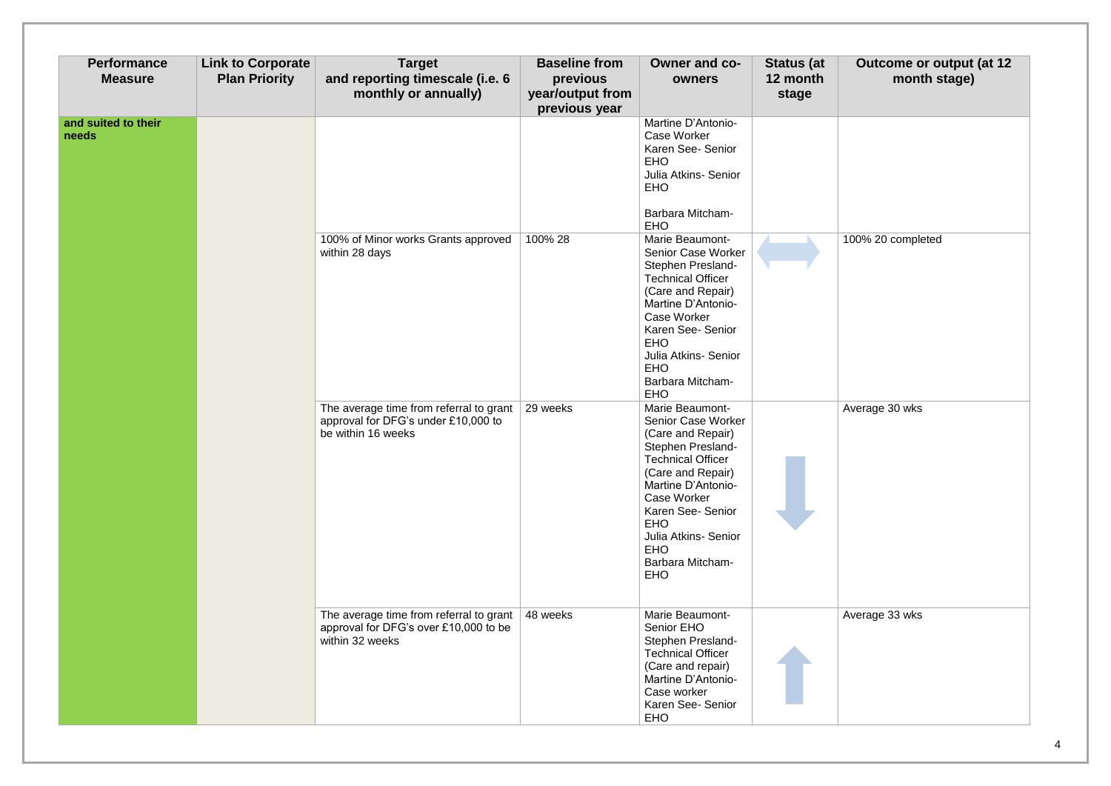100% 20 completed

| <b>Performance</b><br><b>Measure</b> | <b>Link to Corporate</b><br><b>Plan Priority</b> | <b>Target</b><br>and reporting timescale (i.e. 6<br>monthly or annually)                             | <b>Baseline from</b><br>previous<br>year/output from<br>previous year | Owner and co-<br>owners                                                                                                                                                                                                                                                                        | <b>Status (at</b><br>12 month<br>stage |
|--------------------------------------|--------------------------------------------------|------------------------------------------------------------------------------------------------------|-----------------------------------------------------------------------|------------------------------------------------------------------------------------------------------------------------------------------------------------------------------------------------------------------------------------------------------------------------------------------------|----------------------------------------|
| and suited to their<br>needs         |                                                  |                                                                                                      |                                                                       | Martine D'Antonio-<br><b>Case Worker</b><br>Karen See- Senior<br><b>EHO</b><br>Julia Atkins- Senior<br><b>EHO</b><br><b>Barbara Mitcham-</b><br><b>EHO</b>                                                                                                                                     |                                        |
|                                      |                                                  | 100% of Minor works Grants approved<br>within 28 days                                                | 100% 28                                                               | <b>Marie Beaumont-</b><br>Senior Case Worker<br>Stephen Presland-<br><b>Technical Officer</b><br>(Care and Repair)<br>Martine D'Antonio-<br><b>Case Worker</b><br>Karen See- Senior<br><b>EHO</b><br>Julia Atkins- Senior<br><b>EHO</b><br><b>Barbara Mitcham-</b><br><b>EHO</b>               |                                        |
|                                      |                                                  | The average time from referral to grant<br>approval for DFG's under £10,000 to<br>be within 16 weeks | 29 weeks                                                              | Marie Beaumont-<br>Senior Case Worker<br>(Care and Repair)<br>Stephen Presland-<br><b>Technical Officer</b><br>(Care and Repair)<br>Martine D'Antonio-<br><b>Case Worker</b><br>Karen See- Senior<br><b>EHO</b><br>Julia Atkins- Senior<br><b>EHO</b><br><b>Barbara Mitcham-</b><br><b>EHO</b> |                                        |
|                                      |                                                  | The average time from referral to grant<br>approval for DFG's over £10,000 to be<br>within 32 weeks  | 48 weeks                                                              | <b>Marie Beaumont-</b><br>Senior EHO<br>Stephen Presland-<br><b>Technical Officer</b><br>(Care and repair)<br>Martine D'Antonio-<br>Case worker<br>Karen See- Senior<br><b>EHO</b>                                                                                                             |                                        |

Average 30 wks

Average 33 wks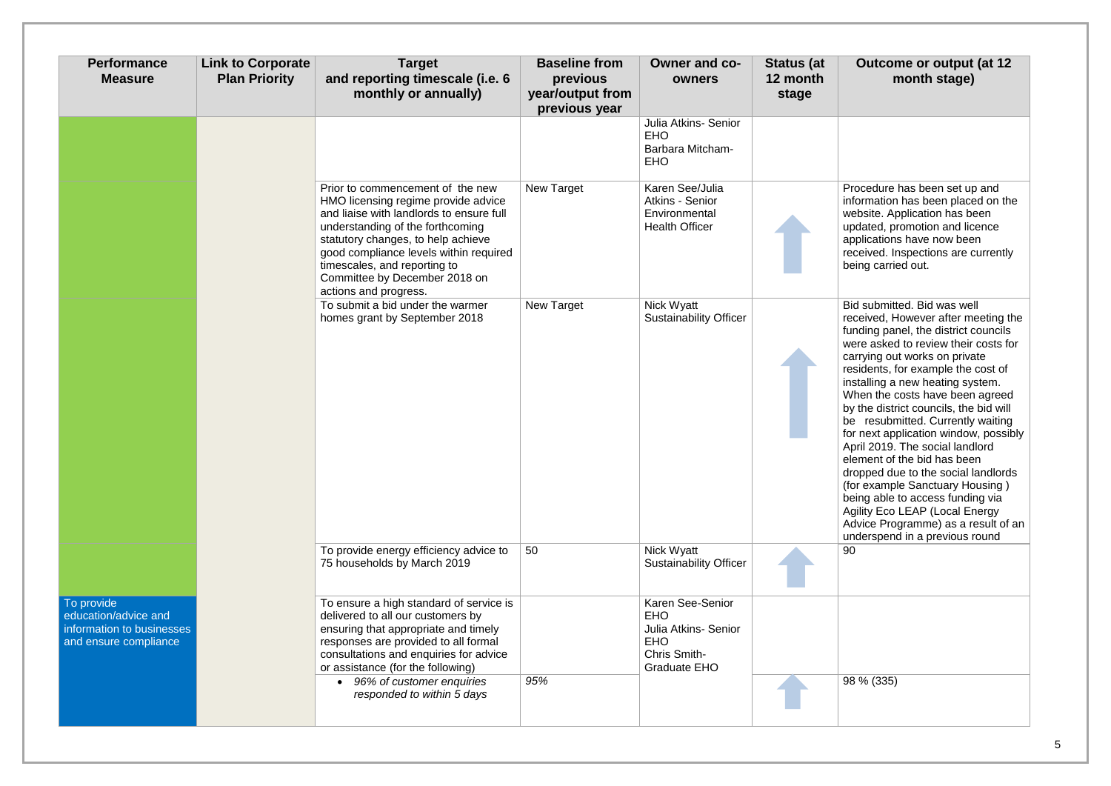Bid submitted. Bid was well received, However after meeting the funding panel, the district councils were asked to review their costs for carrying out works on private residents, for example the cost of installing a new heating system. When the costs have been agreed by the district councils, the bid will be resubmitted. Currently waiting for next application window, possibly April 2019. The social landlord element of the bid has been dropped due to the social landlords (for example Sanctuary Housing ) being able to access funding via Agility Eco LEAP (Local Energy Advice Programme) as a result of an underspend in a previous round  $\overline{90}$ 

Procedure has been set up and information has been placed on the website. Application has been updated, promotion and licence applications have now been received. Inspections are currently being carried out.

| <b>Performance</b><br><b>Measure</b>                                                     | <b>Link to Corporate</b><br><b>Plan Priority</b> | <b>Target</b><br>and reporting timescale (i.e. 6<br>monthly or annually)                                                                                                                                                                                                                                                          | <b>Baseline from</b><br>previous<br>year/output from<br>previous year | Owner and co-<br>owners                                                                              | <b>Status (at</b><br>12 month<br>stage |
|------------------------------------------------------------------------------------------|--------------------------------------------------|-----------------------------------------------------------------------------------------------------------------------------------------------------------------------------------------------------------------------------------------------------------------------------------------------------------------------------------|-----------------------------------------------------------------------|------------------------------------------------------------------------------------------------------|----------------------------------------|
|                                                                                          |                                                  |                                                                                                                                                                                                                                                                                                                                   |                                                                       | Julia Atkins- Senior<br><b>EHO</b><br><b>Barbara Mitcham-</b><br><b>EHO</b>                          |                                        |
|                                                                                          |                                                  | Prior to commencement of the new<br>HMO licensing regime provide advice<br>and liaise with landlords to ensure full<br>understanding of the forthcoming<br>statutory changes, to help achieve<br>good compliance levels within required<br>timescales, and reporting to<br>Committee by December 2018 on<br>actions and progress. | New Target                                                            | Karen See/Julia<br>Atkins - Senior<br>Environmental<br><b>Health Officer</b>                         |                                        |
|                                                                                          |                                                  | To submit a bid under the warmer<br>homes grant by September 2018                                                                                                                                                                                                                                                                 | New Target                                                            | Nick Wyatt<br><b>Sustainability Officer</b>                                                          |                                        |
|                                                                                          |                                                  | To provide energy efficiency advice to<br>75 households by March 2019                                                                                                                                                                                                                                                             | 50                                                                    | Nick Wyatt<br><b>Sustainability Officer</b>                                                          |                                        |
| To provide<br>education/advice and<br>information to businesses<br>and ensure compliance |                                                  | To ensure a high standard of service is<br>delivered to all our customers by<br>ensuring that appropriate and timely<br>responses are provided to all formal<br>consultations and enquiries for advice<br>or assistance (for the following)                                                                                       |                                                                       | Karen See-Senior<br><b>EHO</b><br>Julia Atkins- Senior<br><b>EHO</b><br>Chris Smith-<br>Graduate EHO |                                        |
|                                                                                          |                                                  | 96% of customer enquiries<br>responded to within 5 days                                                                                                                                                                                                                                                                           | 95%                                                                   |                                                                                                      |                                        |

*95%* 98 % (335)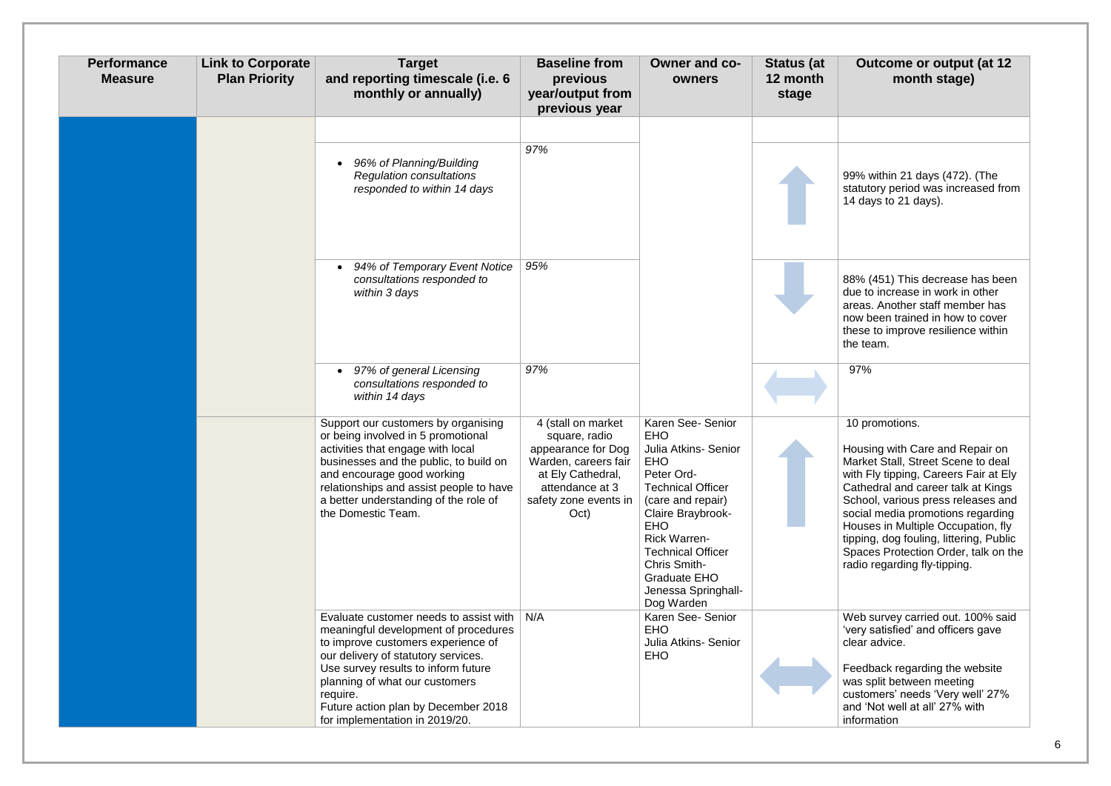99% within 21 days (472). (The statutory period was increased from 14 days to 21 days).

## **Outcome or output (at 12 month stage)**

88% (451) This decrease has been due to increase in work in other areas. Another staff member has now been trained in how to cover these to improve resilience within the team.

| <b>Performance</b><br><b>Measure</b> | <b>Link to Corporate</b><br><b>Plan Priority</b> | <b>Target</b><br>and reporting timescale (i.e. 6<br>monthly or annually)                                                                                                                                                                                                                                                  | <b>Baseline from</b><br>previous<br>year/output from<br>previous year                                                                                      | Owner and co-<br>owners                                                                                                                                                                                                                                                                                | <b>Status (at</b><br>12 month<br>stage | <b>Oι</b>                                                                                                                    |
|--------------------------------------|--------------------------------------------------|---------------------------------------------------------------------------------------------------------------------------------------------------------------------------------------------------------------------------------------------------------------------------------------------------------------------------|------------------------------------------------------------------------------------------------------------------------------------------------------------|--------------------------------------------------------------------------------------------------------------------------------------------------------------------------------------------------------------------------------------------------------------------------------------------------------|----------------------------------------|------------------------------------------------------------------------------------------------------------------------------|
|                                      |                                                  | 96% of Planning/Building<br>$\bullet$<br><b>Regulation consultations</b><br>responded to within 14 days                                                                                                                                                                                                                   | 97%                                                                                                                                                        |                                                                                                                                                                                                                                                                                                        |                                        | 99%<br>statut<br>14 <sub>da</sub>                                                                                            |
|                                      |                                                  | 94% of Temporary Event Notice<br>$\bullet$<br>consultations responded to<br>within 3 days                                                                                                                                                                                                                                 | 95%                                                                                                                                                        |                                                                                                                                                                                                                                                                                                        |                                        | 88%<br>due to<br>areas<br>now b<br>these<br>the te                                                                           |
|                                      |                                                  | 97% of general Licensing<br>$\bullet$<br>consultations responded to<br>within 14 days                                                                                                                                                                                                                                     | 97%                                                                                                                                                        |                                                                                                                                                                                                                                                                                                        |                                        | 97%                                                                                                                          |
|                                      |                                                  | Support our customers by organising<br>or being involved in 5 promotional<br>activities that engage with local<br>businesses and the public, to build on<br>and encourage good working<br>relationships and assist people to have<br>a better understanding of the role of<br>the Domestic Team.                          | 4 (stall on market<br>square, radio<br>appearance for Dog<br>Warden, careers fair<br>at Ely Cathedral,<br>attendance at 3<br>safety zone events in<br>Oct) | Karen See- Senior<br><b>EHO</b><br>Julia Atkins- Senior<br><b>EHO</b><br>Peter Ord-<br><b>Technical Officer</b><br>(care and repair)<br>Claire Braybrook-<br><b>EHO</b><br><b>Rick Warren-</b><br><b>Technical Officer</b><br>Chris Smith-<br><b>Graduate EHO</b><br>Jenessa Springhall-<br>Dog Warden |                                        | 10 <sub>pr</sub><br>Housi<br><b>Marke</b><br>with F<br>Cathe<br>Schoo<br>social<br><b>House</b><br>tipping<br>Space<br>radio |
|                                      |                                                  | Evaluate customer needs to assist with<br>meaningful development of procedures<br>to improve customers experience of<br>our delivery of statutory services.<br>Use survey results to inform future<br>planning of what our customers<br>require.<br>Future action plan by December 2018<br>for implementation in 2019/20. | N/A                                                                                                                                                        | Karen See- Senior<br><b>EHO</b><br>Julia Atkins- Senior<br><b>EHO</b>                                                                                                                                                                                                                                  |                                        | Web:<br>'very :<br>clear<br>Feed<br>was s<br>custo<br>and 'l<br>inform                                                       |

#### 10 promotions.

Housing with Care and Repair on Market Stall, Street Scene to deal with Fly tipping, Careers Fair at Ely Cathedral and career talk at Kings School, various press releases and social media promotions regarding Houses in Multiple Occupation, fly tipping, dog fouling, littering, Public Spaces Protection Order, talk on the radio regarding fly-tipping.

Web survey carried out. 100% said 'very satisfied' and officers gave clear advice.

Feedback regarding the website was split between meeting customers' needs 'Very well' 27% and 'Not well at all' 27% with information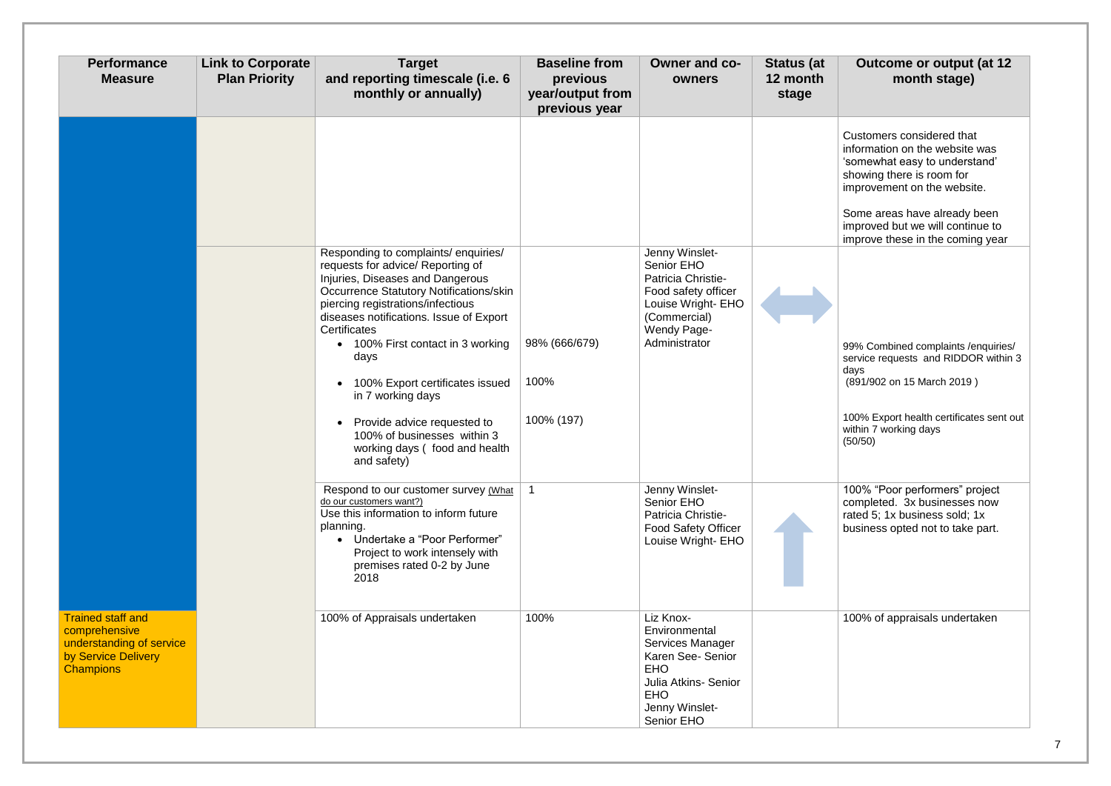## **Outcome or output (at 12 month stage)**

| <b>Performance</b><br><b>Measure</b>                                                                             | <b>Link to Corporate</b><br><b>Plan Priority</b> | <b>Target</b><br>and reporting timescale (i.e. 6<br>monthly or annually)                                                                                                                                                                                                                                                                                                                                                                                                                           | <b>Baseline from</b><br>previous<br>year/output from<br>previous year | Owner and co-<br>owners                                                                                                                                 | <b>Status (at</b><br>12 month<br>stage | <b>Outcome or output (at 12</b><br>month stage)                                                                                                                                                 |
|------------------------------------------------------------------------------------------------------------------|--------------------------------------------------|----------------------------------------------------------------------------------------------------------------------------------------------------------------------------------------------------------------------------------------------------------------------------------------------------------------------------------------------------------------------------------------------------------------------------------------------------------------------------------------------------|-----------------------------------------------------------------------|---------------------------------------------------------------------------------------------------------------------------------------------------------|----------------------------------------|-------------------------------------------------------------------------------------------------------------------------------------------------------------------------------------------------|
|                                                                                                                  |                                                  |                                                                                                                                                                                                                                                                                                                                                                                                                                                                                                    |                                                                       |                                                                                                                                                         |                                        | Customers considered that<br>information on the website was<br>'somewhat easy to understand'<br>showing there is room for<br>improvement on the website.                                        |
|                                                                                                                  |                                                  |                                                                                                                                                                                                                                                                                                                                                                                                                                                                                                    |                                                                       |                                                                                                                                                         |                                        | Some areas have already been<br>improved but we will continue to<br>improve these in the coming year                                                                                            |
|                                                                                                                  |                                                  | Responding to complaints/ enquiries/<br>requests for advice/ Reporting of<br>Injuries, Diseases and Dangerous<br><b>Occurrence Statutory Notifications/skin</b><br>piercing registrations/infectious<br>diseases notifications. Issue of Export<br><b>Certificates</b><br>100% First contact in 3 working<br>$\bullet$<br>days<br>100% Export certificates issued<br>in 7 working days<br>Provide advice requested to<br>$\bullet$<br>100% of businesses within 3<br>working days (food and health | 98% (666/679)<br>100%<br>100% (197)                                   | Jenny Winslet-<br>Senior EHO<br>Patricia Christie-<br>Food safety officer<br>Louise Wright- EHO<br>(Commercial)<br><b>Wendy Page-</b><br>Administrator  |                                        | 99% Combined complaints / enquiries/<br>service requests and RIDDOR within<br>days<br>(891/902 on 15 March 2019)<br>100% Export health certificates sent of<br>within 7 working days<br>(50/50) |
|                                                                                                                  |                                                  | and safety)<br>Respond to our customer survey (What<br>do our customers want?)<br>Use this information to inform future<br>planning.<br>Undertake a "Poor Performer"<br>Project to work intensely with<br>premises rated 0-2 by June<br>2018                                                                                                                                                                                                                                                       | $\mathbf{1}$                                                          | Jenny Winslet-<br>Senior EHO<br>Patricia Christie-<br><b>Food Safety Officer</b><br>Louise Wright- EHO                                                  |                                        | 100% "Poor performers" project<br>completed. 3x businesses now<br>rated 5; 1x business sold; 1x<br>business opted not to take part.                                                             |
| <b>Trained staff and</b><br>comprehensive<br>understanding of service<br>by Service Delivery<br><b>Champions</b> |                                                  | 100% of Appraisals undertaken                                                                                                                                                                                                                                                                                                                                                                                                                                                                      | 100%                                                                  | Liz Knox-<br>Environmental<br>Services Manager<br>Karen See- Senior<br><b>EHO</b><br>Julia Atkins- Senior<br><b>EHO</b><br>Jenny Winslet-<br>Senior EHO |                                        | 100% of appraisals undertaken                                                                                                                                                                   |

100% Export health certificates sent out within 7 working days (50/50)